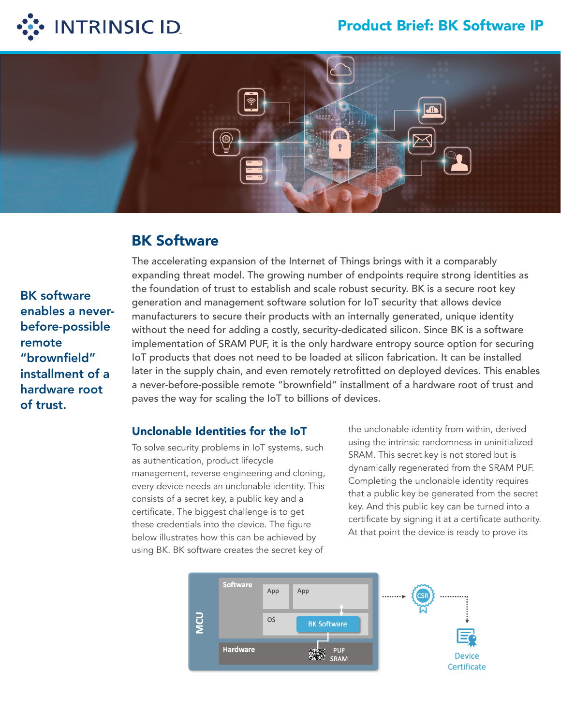## Product Brief: BK Software IP





# BK Software

BK software enables a neverbefore-possible remote "brownfield" installment of a hardware root of trust.

The accelerating expansion of the Internet of Things brings with it a comparably expanding threat model. The growing number of endpoints require strong identities as the foundation of trust to establish and scale robust security. BK is a secure root key generation and management software solution for IoT security that allows device manufacturers to secure their products with an internally generated, unique identity without the need for adding a costly, security-dedicated silicon. Since BK is a software implementation of SRAM PUF, it is the only hardware entropy source option for securing IoT products that does not need to be loaded at silicon fabrication. It can be installed later in the supply chain, and even remotely retrofitted on deployed devices. This enables a never-before-possible remote "brownfield" installment of a hardware root of trust and paves the way for scaling the IoT to billions of devices.

### Unclonable Identities for the IoT

To solve security problems in IoT systems, such as authentication, product lifecycle management, reverse engineering and cloning, every device needs an unclonable identity. This consists of a secret key, a public key and a certificate. The biggest challenge is to get these credentials into the device. The figure below illustrates how this can be achieved by using BK. BK software creates the secret key of

the unclonable identity from within, derived using the intrinsic randomness in uninitialized SRAM. This secret key is not stored but is dynamically regenerated from the SRAM PUF. Completing the unclonable identity requires that a public key be generated from the secret key. And this public key can be turned into a certificate by signing it at a certificate authority. At that point the device is ready to prove its